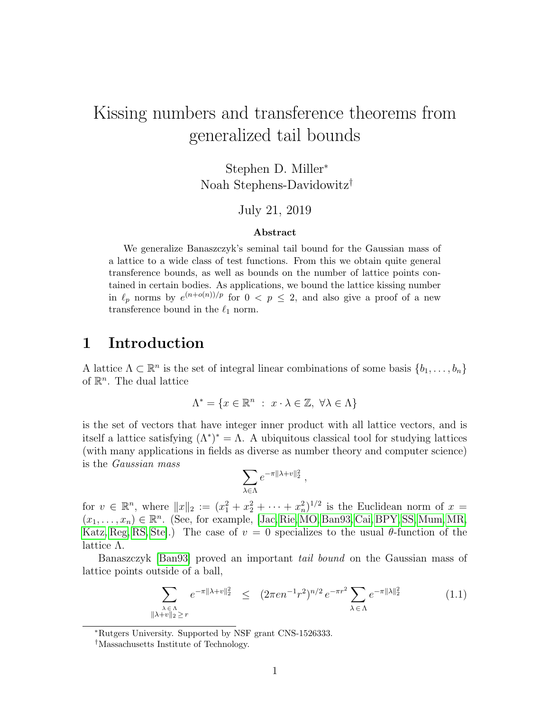# Kissing numbers and transference theorems from generalized tail bounds

Stephen D. Miller<sup>∗</sup> Noah Stephens-Davidowitz†

#### July 21, 2019

#### Abstract

We generalize Banaszczyk's seminal tail bound for the Gaussian mass of a lattice to a wide class of test functions. From this we obtain quite general transference bounds, as well as bounds on the number of lattice points contained in certain bodies. As applications, we bound the lattice kissing number in  $\ell_p$  norms by  $e^{(n+o(n))/p}$  for  $0 < p \leq 2$ , and also give a proof of a new transference bound in the  $\ell_1$  norm.

### 1 Introduction

A lattice  $\Lambda \subset \mathbb{R}^n$  is the set of integral linear combinations of some basis  $\{b_1, \ldots, b_n\}$ of  $\mathbb{R}^n$ . The dual lattice

$$
\Lambda^* = \{ x \in \mathbb{R}^n : x \cdot \lambda \in \mathbb{Z}, \ \forall \lambda \in \Lambda \}
$$

is the set of vectors that have integer inner product with all lattice vectors, and is itself a lattice satisfying  $(\Lambda^*)^* = \Lambda$ . A ubiquitous classical tool for studying lattices (with many applications in fields as diverse as number theory and computer science) is the Gaussian mass

$$
\sum_{\lambda\in\Lambda}e^{-\pi\|\lambda+v\|_2^2}\ ,
$$

for  $v \in \mathbb{R}^n$ , where  $||x||_2 := (x_1^2 + x_2^2 + \cdots + x_n^2)^{1/2}$  is the Euclidean norm of  $x =$  $(x_1, \ldots, x_n) \in \mathbb{R}^n$ . (See, for example, [\[Jac,](#page-14-0) [Rie,](#page-14-1) [MO,](#page-14-2) [Ban93,](#page-13-0) [Cai,](#page-13-1) [BPY,](#page-13-2) [SS,](#page-14-3) [Mum,](#page-14-4) [MR,](#page-14-5) [Katz,](#page-14-6) [Reg,](#page-14-7) [RS,](#page-14-8) Ste. The case of  $v = 0$  specializes to the usual  $\theta$ -function of the lattice Λ.

Banaszczyk [\[Ban93\]](#page-13-0) proved an important tail bound on the Gaussian mass of lattice points outside of a ball,

<span id="page-0-0"></span>
$$
\sum_{\substack{\lambda \in \Lambda \\ \|\lambda + v\|_2 \ge r}} e^{-\pi \|\lambda + v\|_2^2} \le (2\pi e n^{-1} r^2)^{n/2} e^{-\pi r^2} \sum_{\lambda \in \Lambda} e^{-\pi \|\lambda\|_2^2} \tag{1.1}
$$

<sup>∗</sup>Rutgers University. Supported by NSF grant CNS-1526333.

<sup>†</sup>Massachusetts Institute of Technology.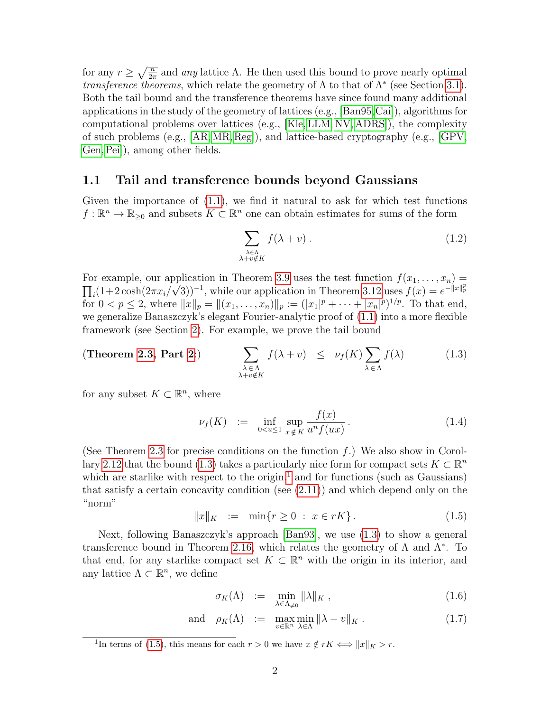for any  $r \geq \sqrt{\frac{n}{2\pi}}$  and any lattice  $\Lambda$ . He then used this bound to prove nearly optimal *transference theorems*, which relate the geometry of  $\Lambda$  to that of  $\Lambda^*$  (see Section [3.1\)](#page-6-0). Both the tail bound and the transference theorems have since found many additional applications in the study of the geometry of lattices (e.g., [\[Ban95,](#page-13-3)[Cai\]](#page-13-1)), algorithms for computational problems over lattices (e.g., [\[Kle,](#page-14-10) [LLM,](#page-14-11) [NV,](#page-14-12) [ADRS\]](#page-13-4)), the complexity of such problems (e.g., [\[AR,](#page-13-5)[MR,](#page-14-5) [Reg\]](#page-14-7)), and lattice-based cryptography (e.g., [\[GPV,](#page-13-6) [Gen,](#page-13-7)[Pei\]](#page-14-13)), among other fields.

#### 1.1 Tail and transference bounds beyond Gaussians

Given the importance of  $(1.1)$ , we find it natural to ask for which test functions  $f: \mathbb{R}^n \to \mathbb{R}_{\geq 0}$  and subsets  $K \subset \mathbb{R}^n$  one can obtain estimates for sums of the form

<span id="page-1-0"></span>
$$
\sum_{\substack{\lambda \in \Lambda \\ \lambda + v \notin K}} f(\lambda + v) \tag{1.2}
$$

For example, our application in Theorem [3.9](#page-9-0) uses the test function  $f(x_1, \ldots, x_n) =$  $\prod_i (1+2\cosh(2\pi x_i/\sqrt{3}))^{-1}$ , while our application in Theorem [3.12](#page-10-0) uses  $f(x) = e^{-\|x\|_p^p}$ for  $0 < p \leq 2$ , where  $||x||_p = ||(x_1, \ldots, x_n)||_p := (|x_1|^p + \cdots + |x_n|^p)^{1/p}$ . To that end, we generalize Banaszczyk's elegant Fourier-analytic proof of [\(1.1\)](#page-0-0) into a more flexible framework (see Section [2\)](#page-3-0). For example, we prove the tail bound

(Theorem 2.3, Part 2:) 
$$
\sum_{\substack{\lambda \in \Lambda \\ \lambda + v \notin K}} f(\lambda + v) \leq \nu_f(K) \sum_{\lambda \in \Lambda} f(\lambda)
$$
(1.3)

for any subset  $K \subset \mathbb{R}^n$ , where

<span id="page-1-3"></span>
$$
\nu_f(K) := \inf_{0 < u \le 1} \sup_{x \notin K} \frac{f(x)}{u^n f(ux)}.
$$
\n(1.4)

(See Theorem [2.3](#page-3-1) for precise conditions on the function  $f$ .) We also show in Corol-lary [2.12](#page-5-0) that the bound [\(1.3\)](#page-1-0) takes a particularly nice form for compact sets  $K \subset \mathbb{R}^n$ which are starlike with respect to the origin,<sup>[1](#page-1-1)</sup> and for functions (such as Gaussians) that satisfy a certain concavity condition (see  $(2.11)$ ) and which depend only on the "norm"

<span id="page-1-2"></span>
$$
||x||_K := \min\{r \ge 0 : x \in rK\}.
$$
 (1.5)

Next, following Banaszczyk's approach [\[Ban93\]](#page-13-0), we use [\(1.3\)](#page-1-0) to show a general transference bound in Theorem [2.16,](#page-5-1) which relates the geometry of  $\Lambda$  and  $\Lambda^*$ . To that end, for any starlike compact set  $K \subset \mathbb{R}^n$  with the origin in its interior, and any lattice  $\Lambda \subset \mathbb{R}^n$ , we define

<span id="page-1-5"></span><span id="page-1-4"></span>
$$
\sigma_K(\Lambda) := \min_{\lambda \in \Lambda_{\neq 0}} \|\lambda\|_K , \qquad (1.6)
$$

and 
$$
\rho_K(\Lambda) := \max_{v \in \mathbb{R}^n} \min_{\lambda \in \Lambda} ||\lambda - v||_K
$$
. (1.7)

<span id="page-1-1"></span><sup>1</sup>In terms of [\(1.5\)](#page-1-2), this means for each  $r > 0$  we have  $x \notin rK \iff ||x||_K > r$ .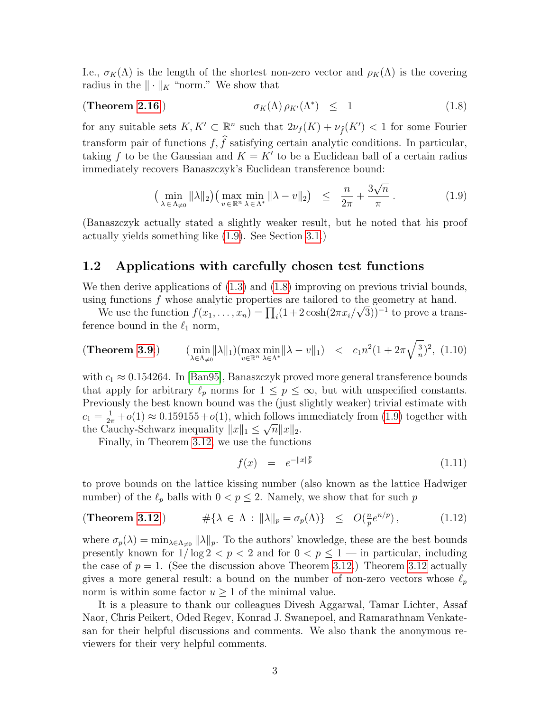I.e.,  $\sigma_K(\Lambda)$  is the length of the shortest non-zero vector and  $\rho_K(\Lambda)$  is the covering radius in the  $\|\cdot\|_K$  "norm." We show that

(Theorem 2.16:)\n
$$
\sigma_K(\Lambda) \rho_{K'}(\Lambda^*) \leq 1 \tag{1.8}
$$

for any suitable sets  $K, K' \subset \mathbb{R}^n$  such that  $2\nu_f(K) + \nu_{\hat{f}}(K') < 1$  for some Fourier transform pair of functions  $f, \hat{f}$  satisfying certain analytic conditions. In particular, taking f to be the Gaussian and  $K = K'$  to be a Euclidean ball of a certain radius immediately recovers Banaszczyk's Euclidean transference bound:

<span id="page-2-1"></span><span id="page-2-0"></span>
$$
\left(\min_{\lambda \in \Lambda_{\neq 0}} \|\lambda\|_2\right) \left(\max_{v \in \mathbb{R}^n} \min_{\lambda \in \Lambda^*} \|\lambda - v\|_2\right) \leq \frac{n}{2\pi} + \frac{3\sqrt{n}}{\pi} \,. \tag{1.9}
$$

(Banaszczyk actually stated a slightly weaker result, but he noted that his proof actually yields something like [\(1.9\)](#page-2-0). See Section [3.1.](#page-6-0))

#### 1.2 Applications with carefully chosen test functions

We then derive applications of  $(1.3)$  and  $(1.8)$  improving on previous trivial bounds, using functions f whose analytic properties are tailored to the geometry at hand.

We use the function  $f(x_1, \ldots, x_n) = \prod_i (1 + 2 \cosh(2\pi x_i/\sqrt{3}))^{-1}$  to prove a transference bound in the  $\ell_1$  norm,

(Theorem 3.9.) 
$$
\lim_{\lambda \in \Lambda_{\neq 0}} ||\lambda||_1) \lim_{v \in \mathbb{R}^n} \lim_{\lambda \in \Lambda^*} ||\lambda - v||_1 < c_1 n^2 (1 + 2\pi \sqrt{\frac{3}{n}})^2, (1.10)
$$

with  $c_1 \approx 0.154264$ . In [\[Ban95\]](#page-13-3), Banaszczyk proved more general transference bounds that apply for arbitrary  $\ell_p$  norms for  $1 \leq p \leq \infty$ , but with unspecified constants. Previously the best known bound was the (just slightly weaker) trivial estimate with  $c_1 = \frac{1}{2\pi} + o(1) \approx 0.159155 + o(1)$ , which follows immediately from [\(1.9\)](#page-2-0) together with the Cauchy-Schwarz inequality  $||x||_1 \leq \sqrt{n} ||x||_2$ .

Finally, in Theorem [3.12,](#page-10-0) we use the functions

$$
f(x) = e^{-\|x\|_p^p} \tag{1.11}
$$

to prove bounds on the lattice kissing number (also known as the lattice Hadwiger number) of the  $\ell_p$  balls with  $0 < p \leq 2$ . Namely, we show that for such p

(Theorem 3.12:) 
$$
\#\{\lambda \in \Lambda : \|\lambda\|_p = \sigma_p(\Lambda)\} \le O(\frac{n}{p}e^{n/p}), \qquad (1.12)
$$

where  $\sigma_p(\lambda) = \min_{\lambda \in \Lambda_{\neq 0}} ||\lambda||_p$ . To the authors' knowledge, these are the best bounds presently known for  $1/\log 2 < p < 2$  and for  $0 < p \le 1$  — in particular, including the case of  $p = 1$ . (See the discussion above Theorem [3.12.](#page-10-0)) Theorem [3.12](#page-10-0) actually gives a more general result: a bound on the number of non-zero vectors whose  $\ell_p$ norm is within some factor  $u \geq 1$  of the minimal value.

It is a pleasure to thank our colleagues Divesh Aggarwal, Tamar Lichter, Assaf Naor, Chris Peikert, Oded Regev, Konrad J. Swanepoel, and Ramarathnam Venkatesan for their helpful discussions and comments. We also thank the anonymous reviewers for their very helpful comments.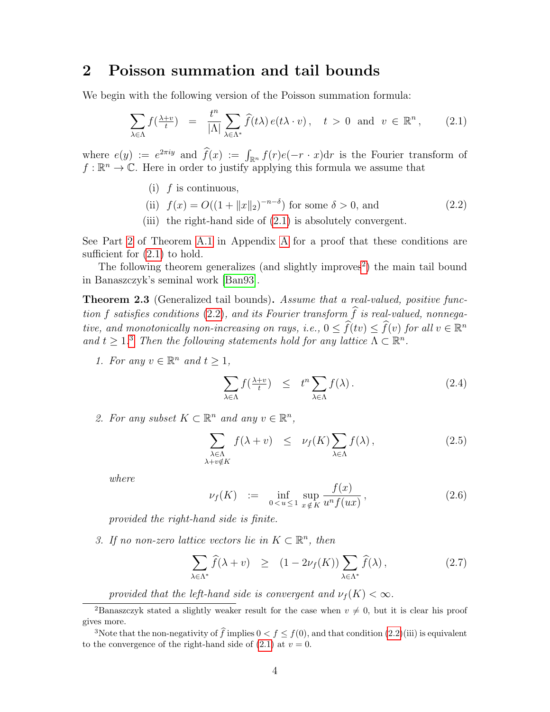### <span id="page-3-0"></span>2 Poisson summation and tail bounds

We begin with the following version of the Poisson summation formula:

<span id="page-3-3"></span>
$$
\sum_{\lambda \in \Lambda} f(\frac{\lambda + v}{t}) = \frac{t^n}{|\Lambda|} \sum_{\lambda \in \Lambda^*} \widehat{f}(t\lambda) e(t\lambda \cdot v), \quad t > 0 \text{ and } v \in \mathbb{R}^n, \qquad (2.1)
$$

where  $e(y) := e^{2\pi i y}$  and  $f(x) := \int_{\mathbb{R}^n} f(r)e(-r \cdot x) dr$  is the Fourier transform of  $f: \mathbb{R}^n \to \mathbb{C}$ . Here in order to justify applying this formula we assume that

(i)  $f$  is continuous,

<span id="page-3-5"></span>(ii) 
$$
f(x) = O((1 + ||x||_2)^{-n-\delta})
$$
 for some  $\delta > 0$ , and (2.2)

(iii) the right-hand side of [\(2.1\)](#page-3-3) is absolutely convergent.

See Part [2](#page-11-0) of Theorem [A.1](#page-11-1) in Appendix [A](#page-11-2) for a proof that these conditions are sufficient for  $(2.1)$  to hold.

The following theorem generalizes (and slightly improves<sup>[2](#page-3-4)</sup>) the main tail bound in Banaszczyk's seminal work [\[Ban93\]](#page-13-0).

<span id="page-3-1"></span>**Theorem 2.3** (Generalized tail bounds). Assume that a real-valued, positive func-tion f satisfies conditions [\(2.2\)](#page-3-5), and its Fourier transform  $\widehat{f}$  is real-valued, nonnegative, and monotonically non-increasing on rays, i.e.,  $0 \leq \widehat{f}(tv) \leq \widehat{f}(v)$  for all  $v \in \mathbb{R}^n$ and  $t \geq 1$ .<sup>[3](#page-3-6)</sup> Then the following statements hold for any lattice  $\Lambda \subset \mathbb{R}^n$ .

<span id="page-3-7"></span>1. For any  $v \in \mathbb{R}^n$  and  $t \geq 1$ ,

$$
\sum_{\lambda \in \Lambda} f(\frac{\lambda + v}{t}) \leq t^n \sum_{\lambda \in \Lambda} f(\lambda). \tag{2.4}
$$

<span id="page-3-2"></span>2. For any subset  $K \subset \mathbb{R}^n$  and any  $v \in \mathbb{R}^n$ ,

<span id="page-3-8"></span>
$$
\sum_{\substack{\lambda \in \Lambda \\ \lambda + v \notin K}} f(\lambda + v) \le \nu_f(K) \sum_{\lambda \in \Lambda} f(\lambda), \tag{2.5}
$$

where

$$
\nu_f(K) := \inf_{0 < u \le 1} \sup_{x \notin K} \frac{f(x)}{u^n f(ux)}, \tag{2.6}
$$

provided the right-hand side is finite.

<span id="page-3-9"></span>3. If no non-zero lattice vectors lie in  $K \subset \mathbb{R}^n$ , then

<span id="page-3-10"></span>
$$
\sum_{\lambda \in \Lambda^*} \widehat{f}(\lambda + v) \ge (1 - 2\nu_f(K)) \sum_{\lambda \in \Lambda^*} \widehat{f}(\lambda), \tag{2.7}
$$

<span id="page-3-4"></span>provided that the left-hand side is convergent and  $\nu_f(K) < \infty$ .

<sup>&</sup>lt;sup>2</sup>Banaszczyk stated a slightly weaker result for the case when  $v \neq 0$ , but it is clear his proof gives more.

<span id="page-3-6"></span><sup>&</sup>lt;sup>3</sup>Note that the non-negativity of  $\hat{f}$  implies  $0 < f < f(0)$ , and that condition  $(2.2)(iii)$  $(2.2)(iii)$  is equivalent to the convergence of the right-hand side of  $(2.1)$  at  $v = 0$ .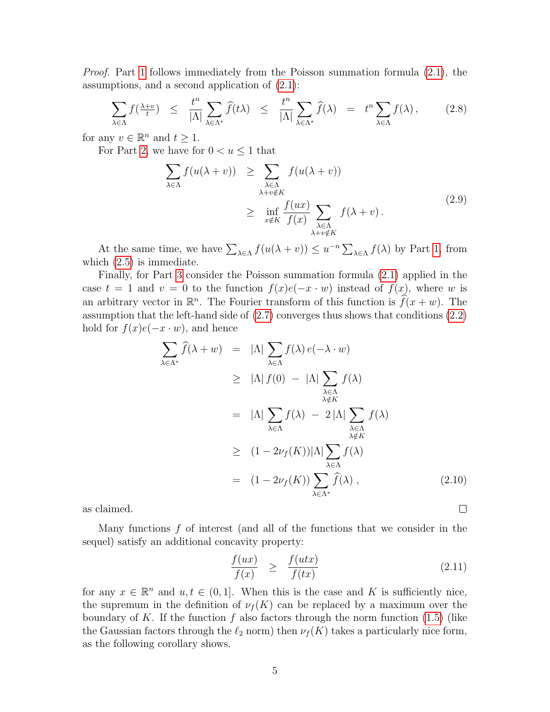Proof. Part [1](#page-3-7) follows immediately from the Poisson summation formula [\(2.1\)](#page-3-3), the assumptions, and a second application of [\(2.1\)](#page-3-3):

$$
\sum_{\lambda \in \Lambda} f(\frac{\lambda + v}{t}) \leq \frac{t^n}{|\Lambda|} \sum_{\lambda \in \Lambda^*} \widehat{f}(t\lambda) \leq \frac{t^n}{|\Lambda|} \sum_{\lambda \in \Lambda^*} \widehat{f}(\lambda) = t^n \sum_{\lambda \in \Lambda} f(\lambda), \qquad (2.8)
$$

for any  $v \in \mathbb{R}^n$  and  $t \geq 1$ .

For Part [2,](#page-3-2) we have for  $0 < u \leq 1$  that

$$
\sum_{\lambda \in \Lambda} f(u(\lambda + v)) \geq \sum_{\substack{\lambda \in \Lambda \\ \lambda + v \notin K}} f(u(\lambda + v))
$$
\n
$$
\geq \inf_{x \notin K} \frac{f(ux)}{f(x)} \sum_{\substack{\lambda \in \Lambda \\ \lambda + v \notin K}} f(\lambda + v).
$$
\n(2.9)

At the same time, we have  $\sum_{\lambda \in \Lambda} f(u(\lambda + v)) \leq u^{-n} \sum_{\lambda \in \Lambda} f(\lambda)$  by Part [1,](#page-3-7) from which  $(2.5)$  is immediate.

Finally, for Part [3](#page-3-9) consider the Poisson summation formula [\(2.1\)](#page-3-3) applied in the case  $t = 1$  and  $v = 0$  to the function  $f(x)e(-x \cdot w)$  instead of  $f(x)$ , where w is an arbitrary vector in  $\mathbb{R}^n$ . The Fourier transform of this function is  $\widehat{f}(x + w)$ . The assumption that the left-hand side of [\(2.7\)](#page-3-10) converges thus shows that conditions [\(2.2\)](#page-3-5) hold for  $f(x)e(-x \cdot w)$ , and hence

$$
\sum_{\lambda \in \Lambda^*} \hat{f}(\lambda + w) = |\Lambda| \sum_{\lambda \in \Lambda} f(\lambda) e(-\lambda \cdot w)
$$
  
\n
$$
\geq |\Lambda| f(0) - |\Lambda| \sum_{\substack{\lambda \in \Lambda \\ \lambda \notin K}} f(\lambda)
$$
  
\n
$$
= |\Lambda| \sum_{\lambda \in \Lambda} f(\lambda) - 2 |\Lambda| \sum_{\substack{\lambda \in \Lambda \\ \lambda \notin K}} f(\lambda)
$$
  
\n
$$
\geq (1 - 2\nu_f(K)) |\Lambda| \sum_{\substack{\lambda \in \Lambda \\ \lambda \in \Lambda}} f(\lambda)
$$
  
\n
$$
= (1 - 2\nu_f(K)) \sum_{\lambda \in \Lambda^*} \hat{f}(\lambda), \qquad (2.10)
$$

as claimed.

Many functions  $f$  of interest (and all of the functions that we consider in the sequel) satisfy an additional concavity property:

<span id="page-4-0"></span>
$$
\frac{f(ux)}{f(x)} \ge \frac{f(utx)}{f(tx)} \tag{2.11}
$$

for any  $x \in \mathbb{R}^n$  and  $u, t \in (0, 1]$ . When this is the case and K is sufficiently nice, the supremum in the definition of  $\nu_f(K)$  can be replaced by a maximum over the boundary of K. If the function f also factors through the norm function  $(1.5)$  (like the Gaussian factors through the  $\ell_2$  norm) then  $\nu_f(K)$  takes a particularly nice form, as the following corollary shows.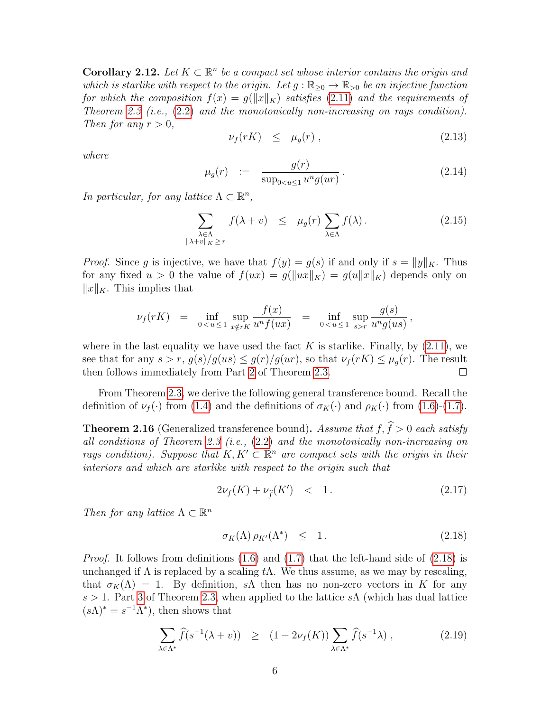<span id="page-5-0"></span>**Corollary 2.12.** Let  $K \subset \mathbb{R}^n$  be a compact set whose interior contains the origin and which is starlike with respect to the origin. Let  $g : \mathbb{R}_{\geq 0} \to \mathbb{R}_{\geq 0}$  be an injective function for which the composition  $f(x) = g(||x||_K)$  satisfies [\(2.11\)](#page-4-0) and the requirements of Theorem [2.3](#page-3-1) (i.e.,  $(2.2)$  and the monotonically non-increasing on rays condition). Then for any  $r > 0$ ,

$$
\nu_f(rK) \leq \mu_g(r) \,, \tag{2.13}
$$

where

$$
\mu_g(r) \quad := \quad \frac{g(r)}{\sup_{0 < u \le 1} u^n g(ur)} \,. \tag{2.14}
$$

In particular, for any lattice  $\Lambda \subset \mathbb{R}^n$ ,

$$
\sum_{\substack{\lambda \in \Lambda \\ \|\lambda + v\|_K \ge r}} f(\lambda + v) \le \mu_g(r) \sum_{\lambda \in \Lambda} f(\lambda). \tag{2.15}
$$

*Proof.* Since g is injective, we have that  $f(y) = g(s)$  if and only if  $s = ||y||_K$ . Thus for any fixed  $u > 0$  the value of  $f(ux) = g(||ux||_K) = g(u||x||_K)$  depends only on  $||x||_K$ . This implies that

$$
\nu_f(rK) = \inf_{0 < u \le 1} \sup_{x \notin rK} \frac{f(x)}{u^n f(ux)} = \inf_{0 < u \le 1} \sup_{s > r} \frac{g(s)}{u^n g(us)},
$$

where in the last equality we have used the fact K is starlike. Finally, by  $(2.11)$ , we see that for any  $s > r$ ,  $g(s)/g(us) \leq g(r)/g(ur)$ , so that  $\nu_f(rK) \leq \mu_q(r)$ . The result then follows immediately from Part [2](#page-3-2) of Theorem [2.3.](#page-3-1)  $\Box$ 

From Theorem [2.3,](#page-3-1) we derive the following general transference bound. Recall the definition of  $\nu_f(\cdot)$  from [\(1.4\)](#page-1-3) and the definitions of  $\sigma_K(\cdot)$  and  $\rho_K(\cdot)$  from [\(1.6\)](#page-1-4)-[\(1.7\)](#page-1-5).

<span id="page-5-1"></span>**Theorem 2.16** (Generalized transference bound). Assume that  $f, \hat{f} > 0$  each satisfy all conditions of Theorem [2.3](#page-3-1) (i.e., [\(2.2\)](#page-3-5) and the monotonically non-increasing on rays condition). Suppose that  $K, K' \subset \mathbb{R}^n$  are compact sets with the origin in their interiors and which are starlike with respect to the origin such that

$$
2\nu_f(K) + \nu_{\hat{f}}(K') \quad < \quad 1 \,. \tag{2.17}
$$

Then for any lattice  $\Lambda \subset \mathbb{R}^n$ 

<span id="page-5-2"></span>
$$
\sigma_K(\Lambda) \rho_{K'}(\Lambda^*) \leq 1. \tag{2.18}
$$

*Proof.* It follows from definitions [\(1.6\)](#page-1-4) and [\(1.7\)](#page-1-5) that the left-hand side of [\(2.18\)](#page-5-2) is unchanged if  $\Lambda$  is replaced by a scaling  $t\Lambda$ . We thus assume, as we may by rescaling, that  $\sigma_K(\Lambda) = 1$ . By definition, sA then has no non-zero vectors in K for any s > 1. Part [3](#page-3-9) of Theorem [2.3,](#page-3-1) when applied to the lattice s $\Lambda$  (which has dual lattice  $(s\Lambda)^* = s^{-1}\Lambda^*$ , then shows that

$$
\sum_{\lambda \in \Lambda^*} \widehat{f}(s^{-1}(\lambda + v)) \ge (1 - 2\nu_f(K)) \sum_{\lambda \in \Lambda^*} \widehat{f}(s^{-1}\lambda) , \qquad (2.19)
$$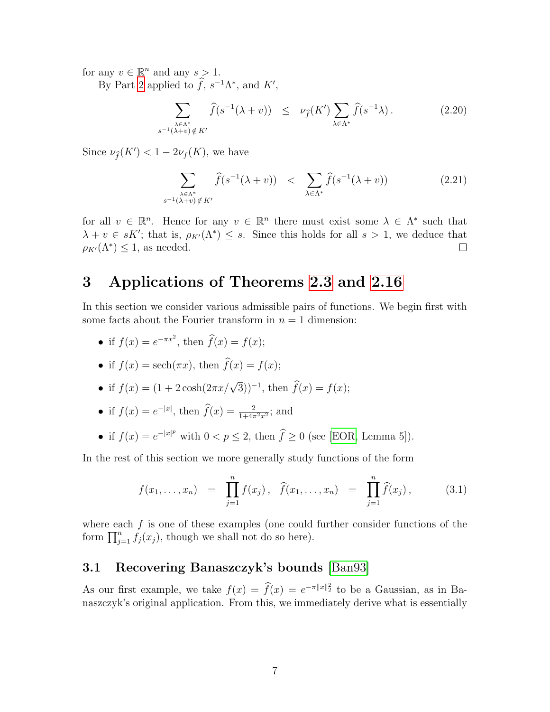for any  $v \in \mathbb{R}^n$  and any  $s > 1$ .

By Part [2](#page-3-2) applied to  $\hat{f}, s^{-1}\Lambda^*$ , and  $K'$ ,

$$
\sum_{\substack{\lambda \in \Lambda^*\\s^{-1}(\lambda+v)\notin K'}} \widehat{f}(s^{-1}(\lambda+v)) \leq \nu_{\widehat{f}}(K') \sum_{\lambda \in \Lambda^*} \widehat{f}(s^{-1}\lambda). \tag{2.20}
$$

Since  $\nu_{\widehat{f}}(K') < 1 - 2\nu_f(K)$ , we have

$$
\sum_{\substack{\lambda \in \Lambda^*\\s^{-1}(\lambda+v)\notin K'}} \widehat{f}(s^{-1}(\lambda+v)) < \sum_{\lambda \in \Lambda^*} \widehat{f}(s^{-1}(\lambda+v))
$$
\n(2.21)

for all  $v \in \mathbb{R}^n$ . Hence for any  $v \in \mathbb{R}^n$  there must exist some  $\lambda \in \Lambda^*$  such that  $\lambda + v \in sK'$ ; that is,  $\rho_{K'}(\Lambda^*) \leq s$ . Since this holds for all  $s > 1$ , we deduce that  $\rho_{K'}(\Lambda^*) \leq 1$ , as needed.  $\Box$ 

#### 3 Applications of Theorems [2.3](#page-3-1) and [2.16](#page-5-1)

In this section we consider various admissible pairs of functions. We begin first with some facts about the Fourier transform in  $n = 1$  dimension:

- if  $f(x) = e^{-\pi x^2}$ , then  $\widehat{f}(x) = f(x)$ ;
- if  $f(x) = \operatorname{sech}(\pi x)$ , then  $\widehat{f}(x) = f(x)$ ;
- if  $f(x) = (1 + 2\cosh(2\pi x/\sqrt{3}))^{-1}$ , then  $\hat{f}(x) = f(x)$ ;
- if  $f(x) = e^{-|x|}$ , then  $\widehat{f}(x) = \frac{2}{1+4\pi^2 x^2}$ ; and
- if  $f(x) = e^{-|x|^p}$  with  $0 < p \le 2$ , then  $\hat{f} \ge 0$  (see [\[EOR,](#page-13-8) Lemma 5]).

In the rest of this section we more generally study functions of the form

$$
f(x_1,...,x_n) = \prod_{j=1}^n f(x_j), \quad \widehat{f}(x_1,...,x_n) = \prod_{j=1}^n \widehat{f}(x_j), \quad (3.1)
$$

where each  $f$  is one of these examples (one could further consider functions of the form  $\prod_{j=1}^{n} f_j(x_j)$ , though we shall not do so here).

#### <span id="page-6-0"></span>3.1 Recovering Banaszczyk's bounds [\[Ban93\]](#page-13-0)

As our first example, we take  $f(x) = \hat{f}(x) = e^{-\pi ||x||^2}$  to be a Gaussian, as in Banaszczyk's original application. From this, we immediately derive what is essentially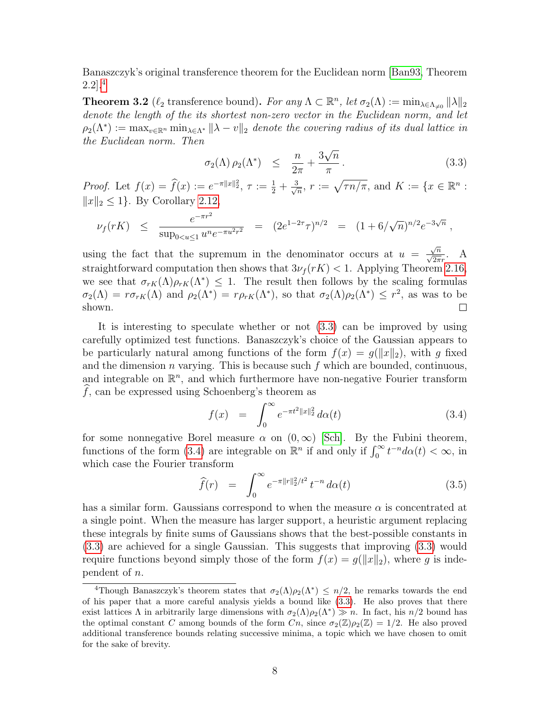Banaszczyk's original transference theorem for the Euclidean norm [\[Ban93,](#page-13-0) Theorem 2.2].[4](#page-7-0)

**Theorem 3.2** ( $\ell_2$  transference bound). For any  $\Lambda \subset \mathbb{R}^n$ , let  $\sigma_2(\Lambda) := \min_{\lambda \in \Lambda_{\neq 0}} ||\lambda||_2$ denote the length of the its shortest non-zero vector in the Euclidean norm, and let  $\rho_2(\Lambda^*) := \max_{v \in \mathbb{R}^n} \min_{\lambda \in \Lambda^*} ||\lambda - v||_2$  denote the covering radius of its dual lattice in the Euclidean norm. Then √

<span id="page-7-1"></span>
$$
\sigma_2(\Lambda)\,\rho_2(\Lambda^*) \quad \leq \quad \frac{n}{2\pi} + \frac{3\sqrt{n}}{\pi} \,. \tag{3.3}
$$

Proof. Let  $f(x) = \hat{f}(x) := e^{-\pi ||x||_2^2}, \tau := \frac{1}{2} + \frac{3}{\sqrt{2}}$  $\frac{n}{n}$ ,  $r := \sqrt{\tau n/\pi}$ , and  $K := \{x \in \mathbb{R}^n :$  $||x||_2 \le 1$ . By Corollary [2.12,](#page-5-0)

$$
\nu_f(rK) \le \frac{e^{-\pi r^2}}{\sup_{0 < u \le 1} u^n e^{-\pi u^2 r^2}} = (2e^{1-2\tau})^{n/2} = (1+6/\sqrt{n})^{n/2} e^{-3\sqrt{n}},
$$

 $\frac{\sqrt{n}}{\sqrt{2\pi}r}$ . A using the fact that the supremum in the denominator occurs at  $u =$ straightforward computation then shows that  $3\nu_f(rK) < 1$ . Applying Theorem [2.16,](#page-5-1) we see that  $\sigma_{rK}(\Lambda)\rho_{rK}(\Lambda^*) \leq 1$ . The result then follows by the scaling formulas  $\sigma_2(\Lambda) = r \sigma_{rK}(\Lambda)$  and  $\rho_2(\Lambda^*) = r \rho_{rK}(\Lambda^*)$ , so that  $\sigma_2(\Lambda) \rho_2(\Lambda^*) \leq r^2$ , as was to be shown.  $\Box$ 

It is interesting to speculate whether or not [\(3.3\)](#page-7-1) can be improved by using carefully optimized test functions. Banaszczyk's choice of the Gaussian appears to be particularly natural among functions of the form  $f(x) = q(||x||_2)$ , with q fixed and the dimension  $n$  varying. This is because such  $f$  which are bounded, continuous, and integrable on  $\mathbb{R}^n$ , and which furthermore have non-negative Fourier transform  $f$ , can be expressed using Schoenberg's theorem as

<span id="page-7-2"></span>
$$
f(x) = \int_0^\infty e^{-\pi t^2 \|x\|_2^2} d\alpha(t)
$$
 (3.4)

for some nonnegative Borel measure  $\alpha$  on  $(0,\infty)$  [\[Sch\]](#page-14-14). By the Fubini theorem, functions of the form [\(3.4\)](#page-7-2) are integrable on  $\mathbb{R}^n$  if and only if  $\int_0^\infty t^{-n} d\alpha(t) < \infty$ , in which case the Fourier transform

<span id="page-7-3"></span>
$$
\widehat{f}(r) = \int_0^\infty e^{-\pi ||r||_2^2 / t^2} t^{-n} d\alpha(t) \tag{3.5}
$$

has a similar form. Gaussians correspond to when the measure  $\alpha$  is concentrated at a single point. When the measure has larger support, a heuristic argument replacing these integrals by finite sums of Gaussians shows that the best-possible constants in [\(3.3\)](#page-7-1) are achieved for a single Gaussian. This suggests that improving [\(3.3\)](#page-7-1) would require functions beyond simply those of the form  $f(x) = g(||x||_2)$ , where g is independent of n.

<span id="page-7-0"></span><sup>&</sup>lt;sup>4</sup>Though Banaszczyk's theorem states that  $\sigma_2(\Lambda)\rho_2(\Lambda^*) \leq n/2$ , he remarks towards the end of his paper that a more careful analysis yields a bound like [\(3.3\)](#page-7-1). He also proves that there exist lattices  $\Lambda$  in arbitrarily large dimensions with  $\sigma_2(\Lambda)\rho_2(\Lambda^*) \gg n$ . In fact, his  $n/2$  bound has the optimal constant C among bounds of the form  $C_n$ , since  $\sigma_2(\mathbb{Z})\rho_2(\mathbb{Z})=1/2$ . He also proved additional transference bounds relating successive minima, a topic which we have chosen to omit for the sake of brevity.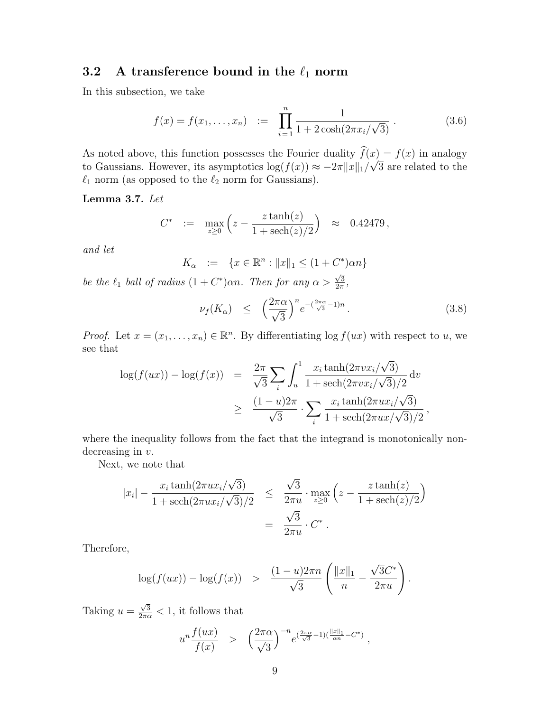### 3.2 A transference bound in the  $\ell_1$  norm

In this subsection, we take

$$
f(x) = f(x_1, \dots, x_n) \quad := \quad \prod_{i=1}^n \frac{1}{1 + 2\cosh(2\pi x_i/\sqrt{3})} \,. \tag{3.6}
$$

As noted above, this function possesses the Fourier duality  $f(x) = f(x)$  in analogy to Gaussians. However, its asymptotics  $\log(f(x)) \approx -2\pi ||x||_1/$  $\left| x\right\rangle$ 3 are related to the  $\ell_1$  norm (as opposed to the  $\ell_2$  norm for Gaussians).

<span id="page-8-0"></span>Lemma 3.7. Let

$$
C^* \ := \ \max_{z \ge 0} \left( z - \frac{z \tanh(z)}{1 + \mathrm{sech}(z)/2} \right) \ \approx \ 0.42479 \,,
$$

and let

$$
K_{\alpha} := \{ x \in \mathbb{R}^{n} : ||x||_{1} \le (1 + C^{*}) \alpha n \}
$$
  
  $\in (1 + C^{*}) \alpha n$  Then for any  $\alpha > \sqrt{3}$ 

be the  $\ell_1$  ball of radius  $(1 + C^*)\alpha n$ . Then for any  $\alpha >$  $\frac{\sqrt{3}}{2\pi}$ ,

$$
\nu_f(K_\alpha) \leq \left(\frac{2\pi\alpha}{\sqrt{3}}\right)^n e^{-\left(\frac{2\pi\alpha}{\sqrt{3}}-1\right)n}.
$$
\n(3.8)

*Proof.* Let  $x = (x_1, \ldots, x_n) \in \mathbb{R}^n$ . By differentiating  $\log f(ux)$  with respect to u, we see that

$$
\log(f(ux)) - \log(f(x)) = \frac{2\pi}{\sqrt{3}} \sum_{i} \int_{u}^{1} \frac{x_i \tanh(2\pi vx_i/\sqrt{3})}{1 + \text{sech}(2\pi vx_i/\sqrt{3})/2} dv
$$
  

$$
\geq \frac{(1 - u)2\pi}{\sqrt{3}} \cdot \sum_{i} \frac{x_i \tanh(2\pi ux_i/\sqrt{3})}{1 + \text{sech}(2\pi ux/\sqrt{3})/2},
$$

where the inequality follows from the fact that the integrand is monotonically nondecreasing in  $v$ .

Next, we note that

$$
|x_i| - \frac{x_i \tanh(2\pi ux_i/\sqrt{3})}{1 + \text{sech}(2\pi ux_i/\sqrt{3})/2} \le \frac{\sqrt{3}}{2\pi u} \cdot \max_{z \ge 0} \left( z - \frac{z \tanh(z)}{1 + \text{sech}(z)/2} \right)
$$
  
=  $\frac{\sqrt{3}}{2\pi u} \cdot C^*.$ 

Therefore,

$$
\log(f(ux)) - \log(f(x)) > \frac{(1-u)2\pi n}{\sqrt{3}} \left( \frac{||x||_1}{n} - \frac{\sqrt{3}C^*}{2\pi u} \right).
$$

Taking  $u =$  $\frac{\sqrt{3}}{2\pi\alpha} < 1$ , it follows that

$$
u^{n}\frac{f(ux)}{f(x)} \quad > \quad \left(\frac{2\pi\alpha}{\sqrt{3}}\right)^{-n} e^{\left(\frac{2\pi\alpha}{\sqrt{3}}-1\right)\left(\frac{||x||_{1}}{\alpha n}-C^{*}\right)} \ ,
$$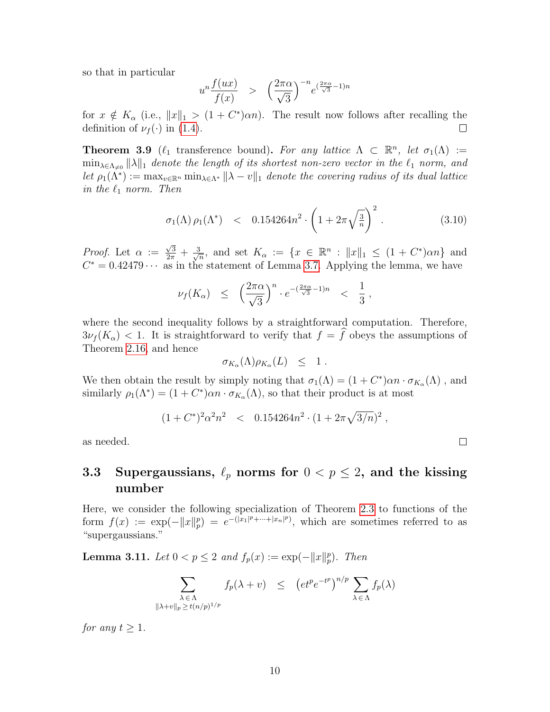so that in particular

$$
u^{n} \frac{f(ux)}{f(x)} \quad > \quad \left(\frac{2\pi\alpha}{\sqrt{3}}\right)^{-n} e^{(\frac{2\pi\alpha}{\sqrt{3}}-1)n}
$$

for  $x \notin K_\alpha$  (i.e.,  $||x||_1 > (1 + C^*)\alpha n$ ). The result now follows after recalling the definition of  $\nu_f(\cdot)$  in [\(1.4\)](#page-1-3).  $\Box$ 

<span id="page-9-0"></span>**Theorem 3.9** ( $\ell_1$  transference bound). For any lattice  $\Lambda \subset \mathbb{R}^n$ , let  $\sigma_1(\Lambda) :=$  $\min_{\lambda \in \Lambda_{\neq 0}} \|\lambda\|_1$  denote the length of its shortest non-zero vector in the  $\ell_1$  norm, and let  $\rho_1(\Lambda^*) := \max_{v \in \mathbb{R}^n} \min_{\lambda \in \Lambda^*} ||\lambda - v||_1$  denote the covering radius of its dual lattice in the  $\ell_1$  norm. Then

$$
\sigma_1(\Lambda) \rho_1(\Lambda^*) \quad < \quad 0.154264n^2 \cdot \left(1 + 2\pi \sqrt{\frac{3}{n}}\right)^2 \,. \tag{3.10}
$$

 $\Box$ 

*Proof.* Let  $\alpha :=$  $\frac{\sqrt{3}}{2\pi}+\frac{3}{\sqrt{3}}$  $\frac{1}{n}$ , and set  $K_{\alpha} := \{x \in \mathbb{R}^n : ||x||_1 \leq (1 + C^*)\alpha n\}$  and  $C^* = 0.42479 \cdots$  as in the statement of Lemma [3.7.](#page-8-0) Applying the lemma, we have

$$
\nu_f(K_\alpha) \leq \left(\frac{2\pi\alpha}{\sqrt{3}}\right)^n \cdot e^{-(\frac{2\pi\alpha}{\sqrt{3}}-1)n} < \frac{1}{3},
$$

where the second inequality follows by a straightforward computation. Therefore,  $3\nu_f(K_\alpha)$  < 1. It is straightforward to verify that  $f = \hat{f}$  obeys the assumptions of Theorem [2.16,](#page-5-1) and hence

$$
\sigma_{K_{\alpha}}(\Lambda)\rho_{K_{\alpha}}(L) \leq 1.
$$

We then obtain the result by simply noting that  $\sigma_1(\Lambda) = (1 + C^*)\alpha n \cdot \sigma_{K_\alpha}(\Lambda)$ , and similarly  $\rho_1(\Lambda^*) = (1 + C^*)\alpha n \cdot \sigma_{K_\alpha}(\Lambda)$ , so that their product is at most

$$
(1 + C^*)^2 \alpha^2 n^2 \quad < \quad 0.154264 n^2 \cdot (1 + 2\pi \sqrt{3/n})^2 \; ,
$$

as needed.

#### <span id="page-9-1"></span>3.3 Supergaussians,  $\ell_p$  norms for  $0 < p \le 2$ , and the kissing number

Here, we consider the following specialization of Theorem [2.3](#page-3-1) to functions of the form  $f(x) := \exp(-||x||_p^p) = e^{-(|x_1|^p + \cdots + |x_n|^p)}$ , which are sometimes referred to as "supergaussians."

**Lemma 3.11.** Let  $0 < p \le 2$  and  $f_p(x) := \exp(-||x||_p^p)$ . Then

$$
\sum_{\substack{\lambda \in \Lambda \\ \|\lambda + v\|_p \ge t(n/p)^{1/p}}} f_p(\lambda + v) \le (et^p e^{-t^p})^{n/p} \sum_{\lambda \in \Lambda} f_p(\lambda)
$$

for any  $t \geq 1$ .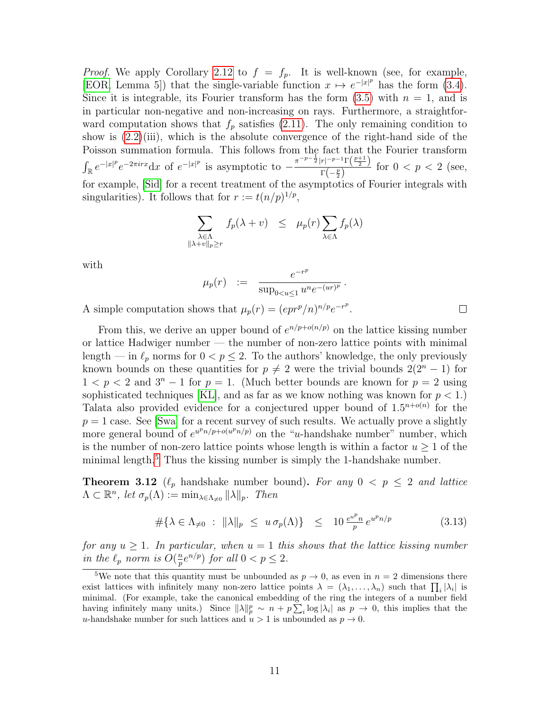*Proof.* We apply Corollary [2.12](#page-5-0) to  $f = f_p$ . It is well-known (see, for example, [\[EOR,](#page-13-8) Lemma 5]) that the single-variable function  $x \mapsto e^{-|x|^p}$  has the form [\(3.4\)](#page-7-2). Since it is integrable, its Fourier transform has the form  $(3.5)$  with  $n = 1$ , and is in particular non-negative and non-increasing on rays. Furthermore, a straightforward computation shows that  $f_p$  satisfies [\(2.11\)](#page-4-0). The only remaining condition to show is  $(2.2)(iii)$  $(2.2)(iii)$ , which is the absolute convergence of the right-hand side of the Poisson summation formula. This follows from the fact that the Fourier transform  $\int_{\mathbb{R}} e^{-|x|^p} e^{-2\pi i r x} dx$  of  $e^{-|x|^p}$  is asymptotic to  $-\frac{\pi^{-p-\frac{1}{2}} |r|^{-p-1} \Gamma(\frac{p+1}{2})}{\Gamma(-p)}$  $\frac{\Gamma(-\frac{p}{2})}{\Gamma(-\frac{p}{2})}$  for  $0 < p < 2$  (see, for example, [\[Sid\]](#page-14-15) for a recent treatment of the asymptotics of Fourier integrals with singularities). It follows that for  $r := t(n/p)^{1/p}$ ,

$$
\sum_{\substack{\lambda \in \Lambda \\ \lambda + v \|_p \ge r}} f_p(\lambda + v) \le \mu_p(r) \sum_{\lambda \in \Lambda} f_p(\lambda)
$$

with

$$
\mu_p(r) \quad := \quad \frac{e^{-r^p}}{\sup_{0 < u \leq 1} u^n e^{-(ur)^p}} \, .
$$

A simple computation shows that  $\mu_p(r) = (epr^p/n)^{n/p}e^{-r^p}$ .

 $\parallel$ 

From this, we derive an upper bound of  $e^{n/p+o(n/p)}$  on the lattice kissing number or lattice Hadwiger number — the number of non-zero lattice points with minimal length — in  $\ell_p$  norms for  $0 < p \leq 2$ . To the authors' knowledge, the only previously known bounds on these quantities for  $p \neq 2$  were the trivial bounds  $2(2^{n} - 1)$  for  $1 < p < 2$  and  $3<sup>n</sup> - 1$  for  $p = 1$ . (Much better bounds are known for  $p = 2$  using sophisticated techniques [\[KL\]](#page-14-16), and as far as we know nothing was known for  $p < 1$ .) Talata also provided evidence for a conjectured upper bound of  $1.5^{n+o(n)}$  for the  $p = 1$  case. See [\[Swa\]](#page-14-17) for a recent survey of such results. We actually prove a slightly more general bound of  $e^{u^p n/p + o(u^p n/p)}$  on the "u-handshake number" number, which is the number of non-zero lattice points whose length is within a factor  $u \geq 1$  of the minimal length. $5$  Thus the kissing number is simply the 1-handshake number.

<span id="page-10-0"></span>**Theorem 3.12** ( $\ell_p$  handshake number bound). For any  $0 < p \leq 2$  and lattice  $\Lambda \subset \mathbb{R}^n$ , let  $\sigma_p(\Lambda) := \min_{\lambda \in \Lambda_{\neq 0}} ||\lambda||_p$ . Then

$$
\#\{\lambda \in \Lambda_{\neq 0} : \|\lambda\|_p \leq u \sigma_p(\Lambda)\} \leq 10 \frac{e^{u^p} n}{p} e^{u^p n/p} \tag{3.13}
$$

for any  $u \geq 1$ . In particular, when  $u = 1$  this shows that the lattice kissing number in the  $\ell_p$  norm is  $O(\frac{n}{p})$  $\frac{n}{p}e^{n/p}$  for all  $0 < p \leq 2$ .

 $\Box$ 

<span id="page-10-1"></span><sup>&</sup>lt;sup>5</sup>We note that this quantity must be unbounded as  $p \to 0$ , as even in  $n = 2$  dimensions there exist lattices with infinitely many non-zero lattice points  $\lambda = (\lambda_1, \ldots, \lambda_n)$  such that  $\prod_i |\lambda_i|$  is minimal. (For example, take the canonical embedding of the ring the integers of a number field having infinitely many units.) Since  $\|\lambda\|_p^p \sim n + p \sum_i \log |\lambda_i|$  as  $p \to 0$ , this implies that the u-handshake number for such lattices and  $u > 1$  is unbounded as  $p \to 0$ .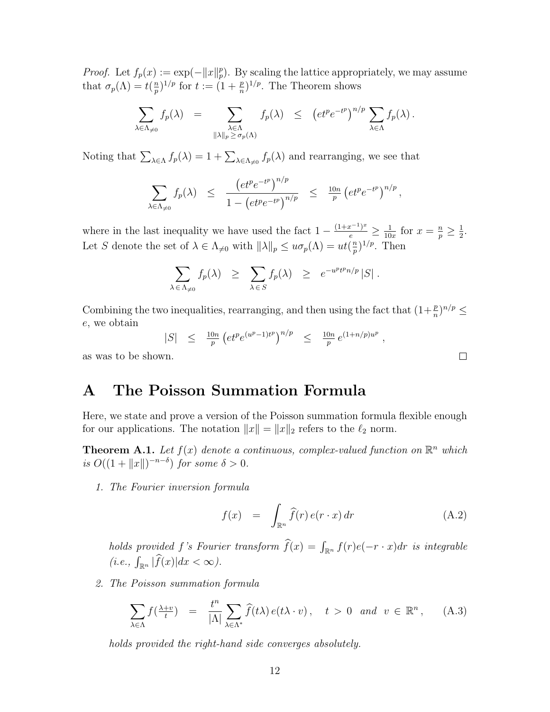*Proof.* Let  $f_p(x) := \exp(-||x||_p^p)$ . By scaling the lattice appropriately, we may assume that  $\sigma_p(\Lambda) = t(\frac{n}{n})$  $(\frac{m}{p})^{1/p}$  for  $t := (1 + \frac{p}{n})^{1/p}$ . The Theorem shows

$$
\sum_{\lambda \in \Lambda_{\neq 0}} f_p(\lambda) = \sum_{\substack{\lambda \in \Lambda \\ \|\lambda\|_p \ge \sigma_p(\Lambda)}} f_p(\lambda) \le (et^p e^{-t^p})^{n/p} \sum_{\lambda \in \Lambda} f_p(\lambda).
$$

Noting that  $\sum_{\lambda \in \Lambda} f_p(\lambda) = 1 + \sum_{\lambda \in \Lambda_{\neq 0}} f_p(\lambda)$  and rearranging, we see that

$$
\sum_{\lambda \in \Lambda_{\neq 0}} f_p(\lambda) \leq \frac{\left(e t^p e^{-t^p}\right)^{n/p}}{1 - \left(e t^p e^{-t^p}\right)^{n/p}} \leq \frac{10n}{p} \left(e t^p e^{-t^p}\right)^{n/p},
$$

where in the last inequality we have used the fact  $1 - \frac{(1+x^{-1})^x}{e} \ge \frac{1}{10}$  $\frac{1}{10x}$  for  $x = \frac{n}{p} \geq \frac{1}{2}$  $\frac{1}{2}$ . Let S denote the set of  $\lambda \in \Lambda_{\neq 0}$  with  $\|\lambda\|_p \leq u\sigma_p(\Lambda) = ut(\frac{n}{p})$  $(\frac{m}{p})^{1/p}$ . Then

$$
\sum_{\lambda \in \Lambda_{\neq 0}} f_p(\lambda) \geq \sum_{\lambda \in S} f_p(\lambda) \geq e^{-u^p t^p n/p} |S|.
$$

Combining the two inequalities, rearranging, and then using the fact that  $(1+\frac{p}{n})^{n/p} \le$ e, we obtain

$$
|S| \leq \frac{10n}{p} \left( e t^p e^{(u^p - 1)t^p} \right)^{n/p} \leq \frac{10n}{p} e^{(1 + n/p)u^p},
$$
  
wm.

as was to be sho

### <span id="page-11-2"></span>A The Poisson Summation Formula

Here, we state and prove a version of the Poisson summation formula flexible enough for our applications. The notation  $||x|| = ||x||_2$  refers to the  $\ell_2$  norm.

<span id="page-11-1"></span>**Theorem A.1.** Let  $f(x)$  denote a continuous, complex-valued function on  $\mathbb{R}^n$  which is  $O((1+\|x\|)^{-n-\delta})$  for some  $\delta > 0$ .

<span id="page-11-4"></span>1. The Fourier inversion formula

<span id="page-11-3"></span>
$$
f(x) = \int_{\mathbb{R}^n} \widehat{f}(r) e(r \cdot x) dr \qquad (A.2)
$$

holds provided f's Fourier transform  $f(x) = \int_{\mathbb{R}^n} f(r)e(-r \cdot x) dr$  is integrable  $(i.e., \int_{\mathbb{R}^n} |\widehat{f}(x)| dx < \infty$ ).

<span id="page-11-0"></span>2. The Poisson summation formula

<span id="page-11-5"></span>
$$
\sum_{\lambda \in \Lambda} f(\frac{\lambda + v}{t}) = \frac{t^n}{|\Lambda|} \sum_{\lambda \in \Lambda^*} \widehat{f}(t\lambda) e(t\lambda \cdot v), \quad t > 0 \quad and \quad v \in \mathbb{R}^n, \tag{A.3}
$$

holds provided the right-hand side converges absolutely.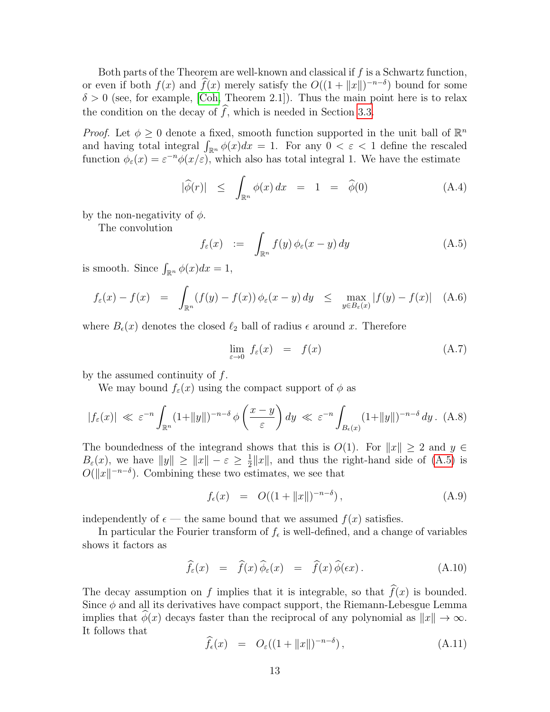Both parts of the Theorem are well-known and classical if  $f$  is a Schwartz function, or even if both  $f(x)$  and  $\widehat{f}(x)$  merely satisfy the  $O((1 + ||x||)^{-n-\delta})$  bound for some  $\delta > 0$  (see, for example, [\[Coh,](#page-13-9) Theorem 2.1]). Thus the main point here is to relax the condition on the decay of  $\widehat{f}$ , which is needed in Section [3.3.](#page-9-1)

*Proof.* Let  $\phi \geq 0$  denote a fixed, smooth function supported in the unit ball of  $\mathbb{R}^n$ and having total integral  $\int_{\mathbb{R}^n} \phi(x) dx = 1$ . For any  $0 < \varepsilon < 1$  define the rescaled function  $\phi_{\varepsilon}(x) = \varepsilon^{-n} \phi(x/\varepsilon)$ , which also has total integral 1. We have the estimate

<span id="page-12-1"></span>
$$
|\widehat{\phi}(r)| \leq \int_{\mathbb{R}^n} \phi(x) dx = 1 = \widehat{\phi}(0) \qquad (A.4)
$$

by the non-negativity of  $\phi$ .

The convolution

<span id="page-12-0"></span>
$$
f_{\varepsilon}(x) := \int_{\mathbb{R}^n} f(y) \, \phi_{\varepsilon}(x - y) \, dy \tag{A.5}
$$

is smooth. Since  $\int_{\mathbb{R}^n} \phi(x) dx = 1$ ,

$$
f_{\varepsilon}(x) - f(x) = \int_{\mathbb{R}^n} (f(y) - f(x)) \phi_{\varepsilon}(x - y) dy \le \max_{y \in B_{\varepsilon}(x)} |f(y) - f(x)| \quad (A.6)
$$

where  $B_{\epsilon}(x)$  denotes the closed  $\ell_2$  ball of radius  $\epsilon$  around x. Therefore

<span id="page-12-2"></span>
$$
\lim_{\varepsilon \to 0} f_{\varepsilon}(x) = f(x) \tag{A.7}
$$

by the assumed continuity of  $f$ .

We may bound  $f_{\varepsilon}(x)$  using the compact support of  $\phi$  as

$$
|f_{\varepsilon}(x)| \ll \varepsilon^{-n} \int_{\mathbb{R}^n} (1+||y||)^{-n-\delta} \phi\left(\frac{x-y}{\varepsilon}\right) dy \ll \varepsilon^{-n} \int_{B_{\varepsilon}(x)} (1+||y||)^{-n-\delta} dy. \tag{A.8}
$$

The boundedness of the integrand shows that this is  $O(1)$ . For  $||x|| \geq 2$  and  $y \in$  $B_{\varepsilon}(x)$ , we have  $||y|| \geq ||x|| - \varepsilon \geq \frac{1}{2}$  $\frac{1}{2}||x||$ , and thus the right-hand side of  $(A.5)$  is  $O(||x||^{-n-\delta})$ . Combining these two estimates, we see that

<span id="page-12-3"></span>
$$
f_{\epsilon}(x) = O((1 + ||x||)^{-n-\delta}), \qquad (A.9)
$$

independently of  $\epsilon$  — the same bound that we assumed  $f(x)$  satisfies.

In particular the Fourier transform of  $f_{\epsilon}$  is well-defined, and a change of variables shows it factors as

<span id="page-12-5"></span>
$$
\widehat{f}_{\varepsilon}(x) = \widehat{f}(x)\widehat{\phi}_{\varepsilon}(x) = \widehat{f}(x)\widehat{\phi}(\varepsilon x). \tag{A.10}
$$

The decay assumption on f implies that it is integrable, so that  $\widehat{f}(x)$  is bounded. Since  $\phi$  and all its derivatives have compact support, the Riemann-Lebesgue Lemma implies that  $\hat{\phi}(x)$  decays faster than the reciprocal of any polynomial as  $||x|| \to \infty$ . It follows that

<span id="page-12-4"></span>
$$
\widehat{f}_{\epsilon}(x) = O_{\epsilon}((1 + ||x||)^{-n-\delta}), \qquad (A.11)
$$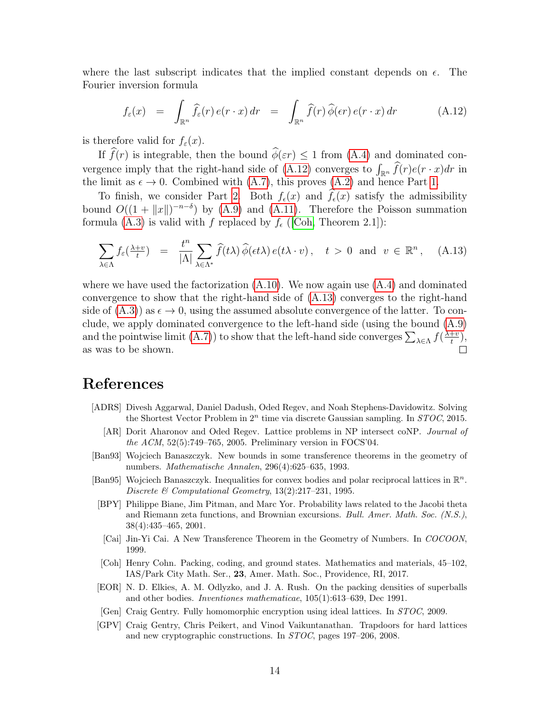where the last subscript indicates that the implied constant depends on  $\epsilon$ . The Fourier inversion formula

<span id="page-13-10"></span>
$$
f_{\varepsilon}(x) = \int_{\mathbb{R}^n} \widehat{f}_{\varepsilon}(r) e(r \cdot x) dr = \int_{\mathbb{R}^n} \widehat{f}(r) \widehat{\phi}(\varepsilon r) e(r \cdot x) dr \qquad (A.12)
$$

is therefore valid for  $f_{\varepsilon}(x)$ .

If  $\widehat{f}(r)$  is integrable, then the bound  $\widehat{\phi}(\varepsilon r) \leq 1$  from [\(A.4\)](#page-12-1) and dominated con-vergence imply that the right-hand side of [\(A.12\)](#page-13-10) converges to  $\int_{\mathbb{R}^n} f(r)e(r \cdot x)dr$  in the limit as  $\epsilon \to 0$ . Combined with [\(A.7\)](#page-12-2), this proves [\(A.2\)](#page-11-3) and hence Part [1.](#page-11-4)

To finish, we consider Part [2.](#page-11-0) Both  $f_{\epsilon}(x)$  and  $\hat{f}_{\epsilon}(x)$  satisfy the admissibility bound  $O((1 + ||x||)^{-n-\delta})$  by [\(A.9\)](#page-12-3) and [\(A.11\)](#page-12-4). Therefore the Poisson summation formula [\(A.3\)](#page-11-5) is valid with f replaced by  $f_{\epsilon}$  ([\[Coh,](#page-13-9) Theorem 2.1]):

<span id="page-13-11"></span>
$$
\sum_{\lambda \in \Lambda} f_{\varepsilon}(\frac{\lambda + v}{t}) = \frac{t^n}{|\Lambda|} \sum_{\lambda \in \Lambda^*} \widehat{f}(t\lambda) \widehat{\phi}(\epsilon t\lambda) e(t\lambda \cdot v), \quad t > 0 \text{ and } v \in \mathbb{R}^n, \quad \text{(A.13)}
$$

where we have used the factorization  $(A.10)$ . We now again use  $(A.4)$  and dominated convergence to show that the right-hand side of [\(A.13\)](#page-13-11) converges to the right-hand side of  $(A.3)$  as  $\epsilon \to 0$ , using the assumed absolute convergence of the latter. To conclude, we apply dominated convergence to the left-hand side (using the bound [\(A.9\)](#page-12-3) and the pointwise limit [\(A.7\)](#page-12-2)) to show that the left-hand side converges  $\sum_{\lambda \in \Lambda} f(\frac{\lambda + v}{t})$  $\frac{+v}{t}),$ as was to be shown.

## References

- <span id="page-13-5"></span><span id="page-13-4"></span>[ADRS] Divesh Aggarwal, Daniel Dadush, Oded Regev, and Noah Stephens-Davidowitz. Solving the Shortest Vector Problem in  $2^n$  time via discrete Gaussian sampling. In  $STOC$ , 2015.
	- [AR] Dorit Aharonov and Oded Regev. Lattice problems in NP intersect coNP. Journal of the ACM,  $52(5)$ :749–765, 2005. Preliminary version in FOCS'04.
- <span id="page-13-0"></span>[Ban93] Wojciech Banaszczyk. New bounds in some transference theorems in the geometry of numbers. Mathematische Annalen, 296(4):625–635, 1993.
- <span id="page-13-3"></span>[Ban95] Wojciech Banaszczyk. Inequalities for convex bodies and polar reciprocal lattices in  $\mathbb{R}^n$ . Discrete & Computational Geometry, 13(2):217–231, 1995.
- <span id="page-13-2"></span>[BPY] Philippe Biane, Jim Pitman, and Marc Yor. Probability laws related to the Jacobi theta and Riemann zeta functions, and Brownian excursions. Bull. Amer. Math. Soc. (N.S.), 38(4):435–465, 2001.
- <span id="page-13-1"></span>[Cai] Jin-Yi Cai. A New Transference Theorem in the Geometry of Numbers. In COCOON, 1999.
- <span id="page-13-9"></span>[Coh] Henry Cohn. Packing, coding, and ground states. Mathematics and materials, 45–102, IAS/Park City Math. Ser., 23, Amer. Math. Soc., Providence, RI, 2017.
- <span id="page-13-8"></span>[EOR] N. D. Elkies, A. M. Odlyzko, and J. A. Rush. On the packing densities of superballs and other bodies. Inventiones mathematicae, 105(1):613–639, Dec 1991.
- <span id="page-13-7"></span>[Gen] Craig Gentry. Fully homomorphic encryption using ideal lattices. In STOC, 2009.
- <span id="page-13-6"></span>[GPV] Craig Gentry, Chris Peikert, and Vinod Vaikuntanathan. Trapdoors for hard lattices and new cryptographic constructions. In STOC, pages 197–206, 2008.